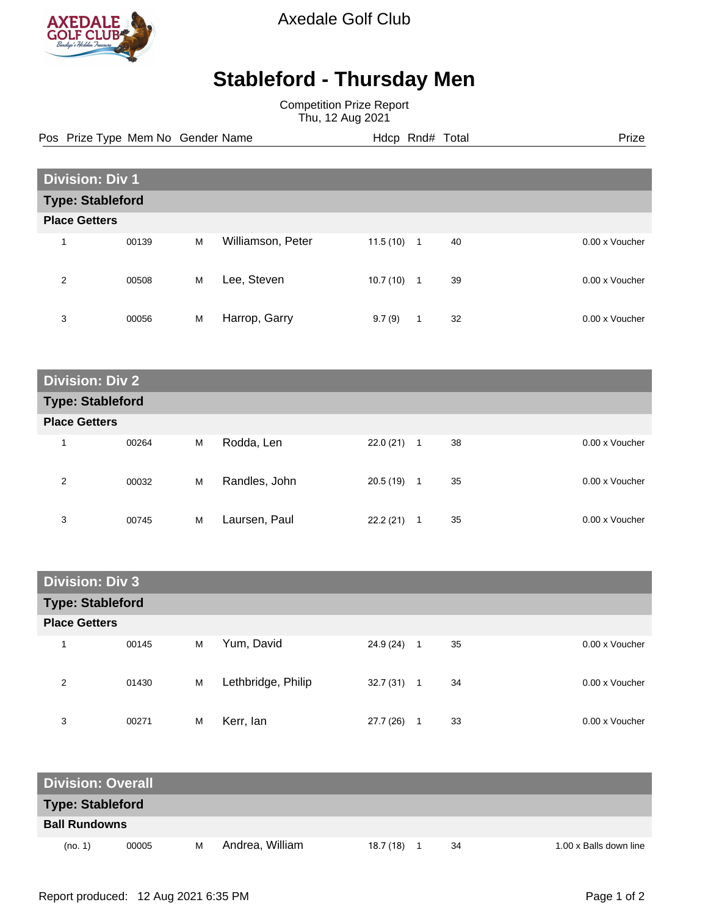

Axedale Golf Club

## **Stableford - Thursday Men**

Competition Prize Report Thu, 12 Aug 2021

Pos Prize Type Mem No Gender Name **Hdcp Rnd# Total** Prize Prize

| <b>Division: Div 1</b>  |       |   |                   |          |    |    |                |
|-------------------------|-------|---|-------------------|----------|----|----|----------------|
| <b>Type: Stableford</b> |       |   |                   |          |    |    |                |
| <b>Place Getters</b>    |       |   |                   |          |    |    |                |
| 4                       | 00139 | M | Williamson, Peter | 11.5(10) | -1 | 40 | 0.00 x Voucher |
| 2                       | 00508 | M | Lee, Steven       | 10.7(10) | 1  | 39 | 0.00 x Voucher |
| 3                       | 00056 | M | Harrop, Garry     | 9.7(9)   | 1  | 32 | 0.00 x Voucher |

| <b>Division: Div 2</b>  |       |   |               |          |              |    |                |
|-------------------------|-------|---|---------------|----------|--------------|----|----------------|
| <b>Type: Stableford</b> |       |   |               |          |              |    |                |
| <b>Place Getters</b>    |       |   |               |          |              |    |                |
| и                       | 00264 | M | Rodda, Len    | 22.0(21) | -1           | 38 | 0.00 x Voucher |
| 2                       | 00032 | M | Randles, John | 20.5(19) | $\mathbf{1}$ | 35 | 0.00 x Voucher |
| 3                       | 00745 | M | Laursen, Paul | 22.2(21) | 1            | 35 | 0.00 x Voucher |

| <b>Division: Div 3</b>  |       |   |                    |              |    |                |  |
|-------------------------|-------|---|--------------------|--------------|----|----------------|--|
| <b>Type: Stableford</b> |       |   |                    |              |    |                |  |
| <b>Place Getters</b>    |       |   |                    |              |    |                |  |
| 1                       | 00145 | M | Yum, David         | $24.9(24)$ 1 | 35 | 0.00 x Voucher |  |
| 2                       | 01430 | M | Lethbridge, Philip | $32.7(31)$ 1 | 34 | 0.00 x Voucher |  |
| 3                       | 00271 | M | Kerr, lan          | 27.7(26)     | 33 | 0.00 x Voucher |  |

| <b>Division: Overall</b> |       |   |                 |          |  |    |                        |
|--------------------------|-------|---|-----------------|----------|--|----|------------------------|
| <b>Type: Stableford</b>  |       |   |                 |          |  |    |                        |
| <b>Ball Rundowns</b>     |       |   |                 |          |  |    |                        |
| (no. 1)                  | 00005 | м | Andrea, William | 18.7(18) |  | 34 | 1.00 x Balls down line |